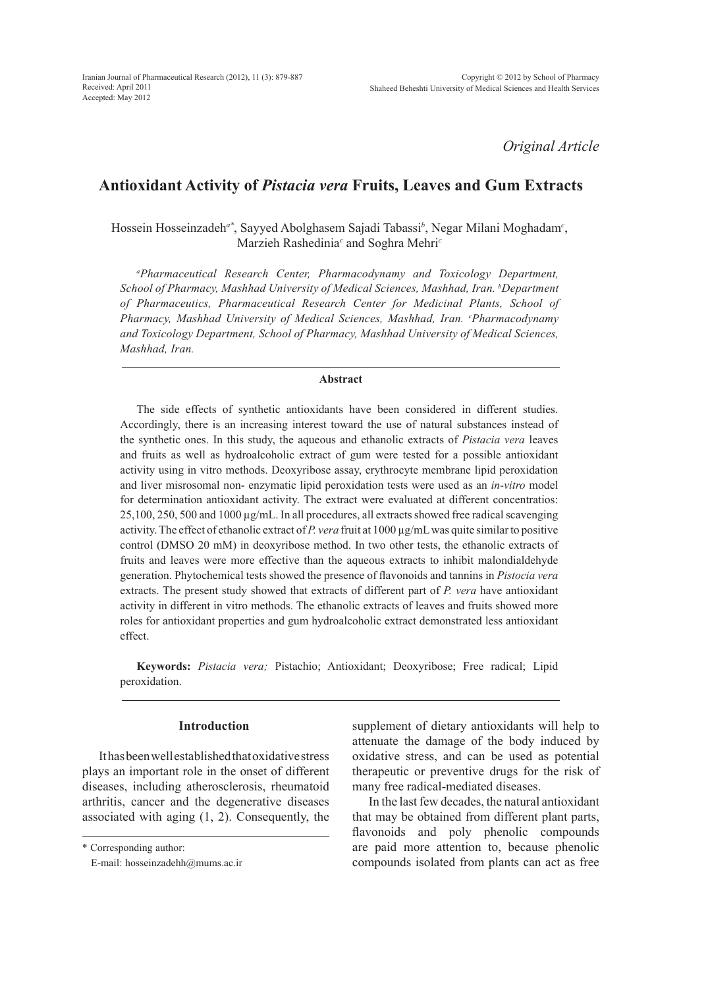*Original Article*

# **Antioxidant Activity of** *Pistacia vera* **Fruits, Leaves and Gum Extracts**

Hossein Hosseinzadeh*a\**, Sayyed Abolghasem Sajadi Tabassi*<sup>b</sup>* , Negar Milani Moghadam*<sup>c</sup>* , Marzieh Rashedinia*<sup>c</sup>* and Soghra Mehri*<sup>c</sup>*

*a Pharmaceutical Research Center, Pharmacodynamy and Toxicology Department, School of Pharmacy, Mashhad University of Medical Sciences, Mashhad, Iran. b Department of Pharmaceutics, Pharmaceutical Research Center for Medicinal Plants, School of Pharmacy, Mashhad University of Medical Sciences, Mashhad, Iran. c Pharmacodynamy and Toxicology Department, School of Pharmacy, Mashhad University of Medical Sciences, Mashhad, Iran.*

## **Abstract**

The side effects of synthetic antioxidants have been considered in different studies. Accordingly, there is an increasing interest toward the use of natural substances instead of the synthetic ones. In this study, the aqueous and ethanolic extracts of *Pistacia vera* leaves and fruits as well as hydroalcoholic extract of gum were tested for a possible antioxidant activity using in vitro methods. Deoxyribose assay, erythrocyte membrane lipid peroxidation and liver misrosomal non- enzymatic lipid peroxidation tests were used as an *in-vitro* model for determination antioxidant activity. The extract were evaluated at different concentratios: 25,100, 250, 500 and 1000 µg/mL. In all procedures, all extracts showed free radical scavenging activity. The effect of ethanolic extract of *P. vera* fruit at 1000 µg/mL was quite similar to positive control (DMSO 20 mM) in deoxyribose method. In two other tests, the ethanolic extracts of fruits and leaves were more effective than the aqueous extracts to inhibit malondialdehyde generation. Phytochemical tests showed the presence of flavonoids and tannins in *Pistocia vera* extracts. The present study showed that extracts of different part of *P. vera* have antioxidant activity in different in vitro methods. The ethanolic extracts of leaves and fruits showed more roles for antioxidant properties and gum hydroalcoholic extract demonstrated less antioxidant effect.

**Keywords:** *Pistacia vera;* Pistachio; Antioxidant; Deoxyribose; Free radical; Lipid peroxidation.

## **Introduction**

It has been well established that oxidative stress plays an important role in the onset of different diseases, including atherosclerosis, rheumatoid arthritis, cancer and the degenerative diseases associated with aging (1, 2). Consequently, the supplement of dietary antioxidants will help to attenuate the damage of the body induced by oxidative stress, and can be used as potential therapeutic or preventive drugs for the risk of many free radical-mediated diseases.

In the last few decades, the natural antioxidant that may be obtained from different plant parts, flavonoids and poly phenolic compounds are paid more attention to, because phenolic compounds isolated from plants can act as free

<sup>\*</sup> Corresponding author:

E-mail: hosseinzadehh@mums.ac.ir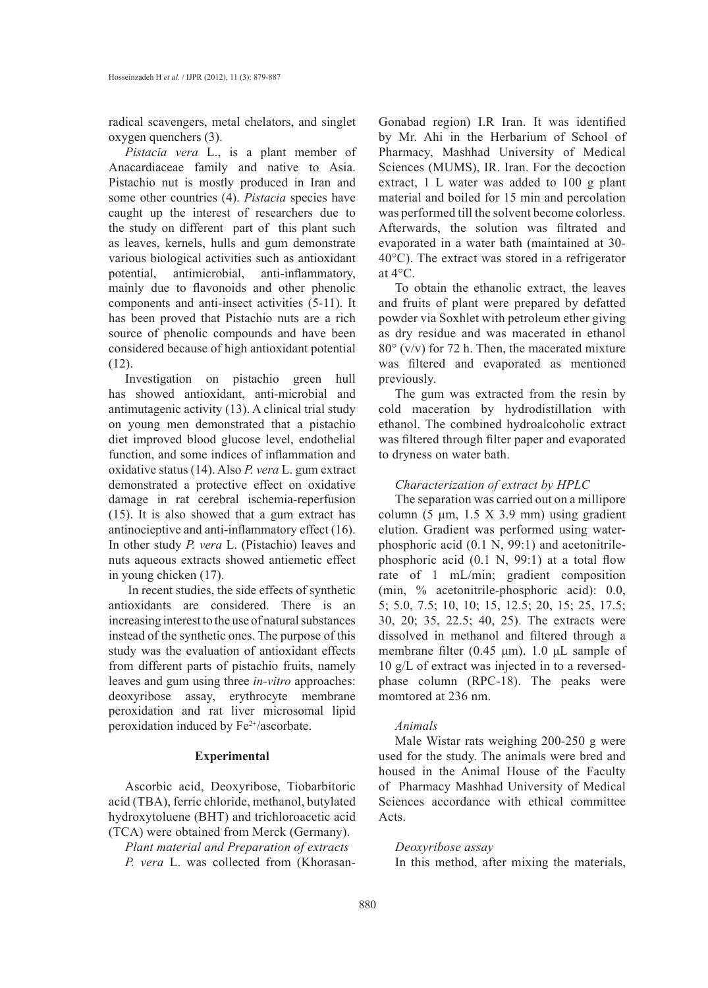radical scavengers, metal chelators, and singlet oxygen quenchers (3).

*Pistacia vera* L., is a plant member of Anacardiaceae family and native to Asia. Pistachio nut is mostly produced in Iran and some other countries (4). *Pistacia* species have caught up the interest of researchers due to the study on different part of this plant such as leaves, kernels, hulls and gum demonstrate various biological activities such as antioxidant potential, antimicrobial, anti-inflammatory, mainly due to flavonoids and other phenolic components and anti-insect activities (5-11). It has been proved that Pistachio nuts are a rich source of phenolic compounds and have been considered because of high antioxidant potential  $(12)$ .

Investigation on pistachio green hull has showed antioxidant, anti-microbial and antimutagenic activity (13). A clinical trial study on young men demonstrated that a pistachio diet improved blood glucose level, endothelial function, and some indices of inflammation and oxidative status (14). Also *P. vera* L. gum extract demonstrated a protective effect on oxidative damage in rat cerebral ischemia-reperfusion (15). It is also showed that a gum extract has antinocieptive and anti-inflammatory effect (16). In other study *P. vera* L. (Pistachio) leaves and nuts aqueous extracts showed antiemetic effect in young chicken (17).

 In recent studies, the side effects of synthetic antioxidants are considered. There is an increasing interest to the use of natural substances instead of the synthetic ones. The purpose of this study was the evaluation of antioxidant effects from different parts of pistachio fruits, namely leaves and gum using three *in-vitro* approaches: deoxyribose assay, erythrocyte membrane peroxidation and rat liver microsomal lipid peroxidation induced by Fe<sup>2+</sup>/ascorbate.

## **Experimental**

Ascorbic acid, Deoxyribose, Tiobarbitoric acid (TBA), ferric chloride, methanol, butylated hydroxytoluene (BHT) and trichloroacetic acid (TCA) were obtained from Merck (Germany).

*Plant material and Preparation of extracts P. vera* L. was collected from (KhorasanGonabad region) I.R Iran. It was identified by Mr. Ahi in the Herbarium of School of Pharmacy, Mashhad University of Medical Sciences (MUMS), IR. Iran. For the decoction extract, 1 L water was added to 100 g plant material and boiled for 15 min and percolation was performed till the solvent become colorless. Afterwards, the solution was filtrated and evaporated in a water bath (maintained at 30- 40°C). The extract was stored in a refrigerator at 4°C.

To obtain the ethanolic extract, the leaves and fruits of plant were prepared by defatted powder via Soxhlet with petroleum ether giving as dry residue and was macerated in ethanol 80° (v/v) for 72 h. Then, the macerated mixture was filtered and evaporated as mentioned previously.

The gum was extracted from the resin by cold maceration by hydrodistillation with ethanol. The combined hydroalcoholic extract was filtered through filter paper and evaporated to dryness on water bath.

## *Characterization of extract by HPLC*

The separation was carried out on a millipore column  $(5 \mu m, 1.5 X 3.9 mm)$  using gradient elution. Gradient was performed using waterphosphoric acid (0.1 N, 99:1) and acetonitrilephosphoric acid (0.1 N, 99:1) at a total flow rate of 1 mL/min; gradient composition (min, % acetonitrile-phosphoric acid): 0.0, 5; 5.0, 7.5; 10, 10; 15, 12.5; 20, 15; 25, 17.5; 30, 20; 35, 22.5; 40, 25). The extracts were dissolved in methanol and filtered through a membrane filter (0.45 μm). 1.0 μL sample of 10 g/L of extract was injected in to a reversedphase column (RPC-18). The peaks were momtored at 236 nm.

## *Animals*

Male Wistar rats weighing 200-250 g were used for the study. The animals were bred and housed in the Animal House of the Faculty of Pharmacy Mashhad University of Medical Sciences accordance with ethical committee Acts.

## *Deoxyribose assay*

In this method, after mixing the materials,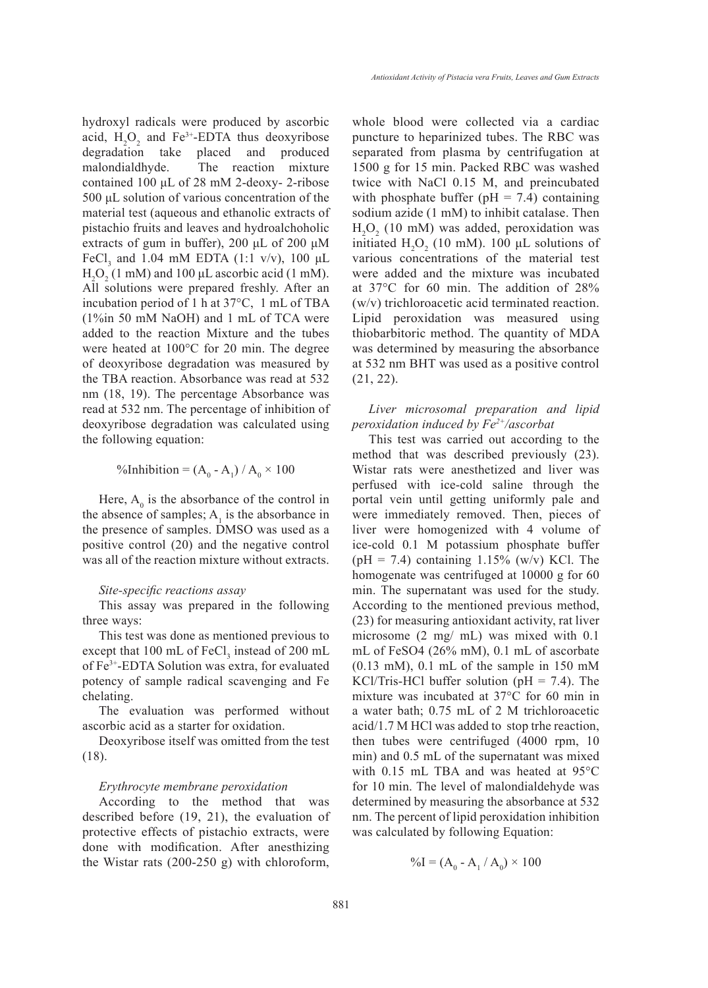hydroxyl radicals were produced by ascorbic acid,  $H_2O_2$  and  $Fe^{3+}$ -EDTA thus deoxyribose degradation take placed and produced malondialdhyde. The reaction mixture contained 100 μL of 28 mM 2-deoxy- 2-ribose 500 μL solution of various concentration of the material test (aqueous and ethanolic extracts of pistachio fruits and leaves and hydroalchoholic extracts of gum in buffer), 200  $\mu$ L of 200  $\mu$ M FeCl<sub>3</sub> and 1.04 mM EDTA (1:1 v/v), 100  $\mu$ L  $H_2O_2$  (1 mM) and 100 µL ascorbic acid (1 mM). All solutions were prepared freshly. After an incubation period of 1 h at 37°C, 1 mL of TBA (1%in 50 mM NaOH) and 1 mL of TCA were added to the reaction Mixture and the tubes were heated at 100°C for 20 min. The degree of deoxyribose degradation was measured by the TBA reaction. Absorbance was read at 532 nm (18, 19). The percentage Absorbance was read at 532 nm. The percentage of inhibition of deoxyribose degradation was calculated using the following equation:

$$
\% Inhibition = (A_0 - A_1) / A_0 \times 100
$$

Here,  $A_0$  is the absorbance of the control in the absence of samples;  $A_1$  is the absorbance in the presence of samples. DMSO was used as a positive control (20) and the negative control was all of the reaction mixture without extracts.

#### *Site-specific reactions assay*

This assay was prepared in the following three ways:

This test was done as mentioned previous to except that 100 mL of  $\text{FeCl}_3$  instead of 200 mL of Fe3+-EDTA Solution was extra, for evaluated potency of sample radical scavenging and Fe chelating.

The evaluation was performed without ascorbic acid as a starter for oxidation.

Deoxyribose itself was omitted from the test (18).

#### *Erythrocyte membrane peroxidation*

According to the method that was described before (19, 21), the evaluation of protective effects of pistachio extracts, were done with modification. After anesthizing the Wistar rats (200-250 g) with chloroform, whole blood were collected via a cardiac puncture to heparinized tubes. The RBC was separated from plasma by centrifugation at 1500 g for 15 min. Packed RBC was washed twice with NaCl 0.15 M, and preincubated with phosphate buffer ( $pH = 7.4$ ) containing sodium azide (1 mM) to inhibit catalase. Then  $H<sub>2</sub>O<sub>2</sub>$  (10 mM) was added, peroxidation was initiated  $H_2O_2$  (10 mM). 100 µL solutions of various concentrations of the material test were added and the mixture was incubated at 37°C for 60 min. The addition of 28% (w/v) trichloroacetic acid terminated reaction. Lipid peroxidation was measured using thiobarbitoric method. The quantity of MDA was determined by measuring the absorbance at 532 nm BHT was used as a positive control (21, 22).

## *Liver microsomal preparation and lipid peroxidation induced by Fe2+/ascorbat*

This test was carried out according to the method that was described previously (23). Wistar rats were anesthetized and liver was perfused with ice-cold saline through the portal vein until getting uniformly pale and were immediately removed. Then, pieces of liver were homogenized with 4 volume of ice-cold 0.1 M potassium phosphate buffer (pH = 7.4) containing  $1.15\%$  (w/v) KCl. The homogenate was centrifuged at 10000 g for 60 min. The supernatant was used for the study. According to the mentioned previous method, (23) for measuring antioxidant activity, rat liver microsome (2 mg/ mL) was mixed with 0.1 mL of FeSO4 (26% mM), 0.1 mL of ascorbate  $(0.13 \text{ mM})$ , 0.1 mL of the sample in 150 mM KCl/Tris-HCl buffer solution ( $pH = 7.4$ ). The mixture was incubated at 37°C for 60 min in a water bath; 0.75 mL of 2 M trichloroacetic acid/1.7 M HCl was added to stop trhe reaction, then tubes were centrifuged (4000 rpm, 10 min) and 0.5 mL of the supernatant was mixed with 0.15 mL TBA and was heated at 95°C for 10 min. The level of malondialdehyde was determined by measuring the absorbance at 532 nm. The percent of lipid peroxidation inhibition was calculated by following Equation:

$$
\%I = (A_0 - A_1 / A_0) \times 100
$$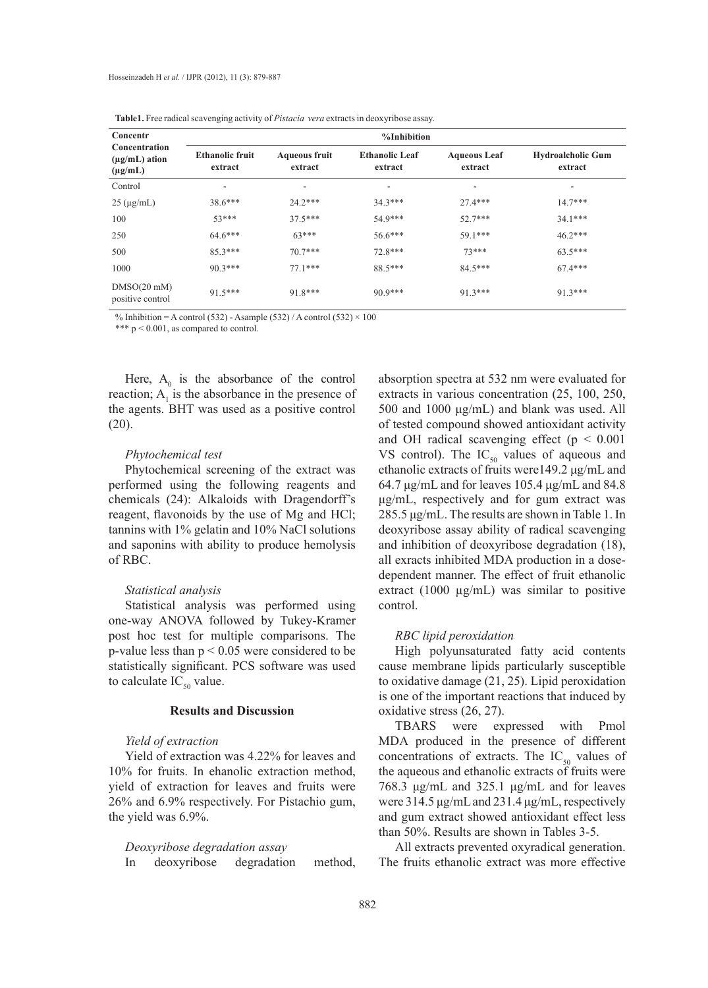| Concentr<br>Concentration<br>$(\mu g/mL)$ ation<br>$(\mu g/mL)$ | %Inhibition                       |                                 |                                  |                                |                                     |  |  |
|-----------------------------------------------------------------|-----------------------------------|---------------------------------|----------------------------------|--------------------------------|-------------------------------------|--|--|
|                                                                 | <b>Ethanolic fruit</b><br>extract | <b>Aqueous fruit</b><br>extract | <b>Ethanolic Leaf</b><br>extract | <b>Aqueous Leaf</b><br>extract | <b>Hydroalcholic Gum</b><br>extract |  |  |
| Control                                                         | ۰                                 | ۰                               | ٠                                | ٠                              | ۰                                   |  |  |
| $25 \text{ (µg/mL)}$                                            | $38.6***$                         | $24.2***$                       | $34.3***$                        | $27.4***$                      | $14.7***$                           |  |  |
| 100                                                             | $53***$                           | $37.5***$                       | 54.9***                          | $52.7***$                      | $34.1***$                           |  |  |
| 250                                                             | $64.6***$                         | $63***$                         | $56.6***$                        | 59.1***                        | $46.2***$                           |  |  |
| 500                                                             | $85.3***$                         | $70.7***$                       | 72.8***                          | $73***$                        | $63.5***$                           |  |  |
| 1000                                                            | $90.3***$                         | $77.1***$                       | 88.5***                          | $84.5***$                      | $67.4***$                           |  |  |
| DMSO(20~mM)<br>positive control                                 | $915***$                          | $918***$                        | $90.9***$                        | $91.3***$                      | $91.3***$                           |  |  |

**Table1.** Free radical scavenging activity of *Pistacia vera* extracts in deoxyribose assay.

% Inhibition = A control (532) - Asample (532) / A control (532)  $\times$  100

\*\*\*  $p < 0.001$ , as compared to control.

Here,  $A_0$  is the absorbance of the control reaction;  $A_1$  is the absorbance in the presence of the agents. BHT was used as a positive control (20).

#### *Phytochemical test*

Phytochemical screening of the extract was performed using the following reagents and chemicals (24): Alkaloids with Dragendorff's reagent, flavonoids by the use of Mg and HCl; tannins with 1% gelatin and 10% NaCl solutions and saponins with ability to produce hemolysis of RBC.

#### *Statistical analysis*

Statistical analysis was performed using one-way ANOVA followed by Tukey-Kramer post hoc test for multiple comparisons. The p-value less than  $p < 0.05$  were considered to be statistically significant. PCS software was used to calculate  $IC_{50}$  value.

## **Results and Discussion**

## *Yield of extraction*

Yield of extraction was 4.22% for leaves and 10% for fruits. In ehanolic extraction method, yield of extraction for leaves and fruits were 26% and 6.9% respectively. For Pistachio gum, the yield was 6.9%.

## *Deoxyribose degradation assay*

In deoxyribose degradation method,

absorption spectra at 532 nm were evaluated for extracts in various concentration (25, 100, 250, 500 and 1000 μg/mL) and blank was used. All of tested compound showed antioxidant activity and OH radical scavenging effect ( $p < 0.001$ VS control). The  $IC_{50}$  values of aqueous and ethanolic extracts of fruits were149.2 μg/mL and 64.7 μg/mL and for leaves 105.4 μg/mL and 84.8 μg/mL, respectively and for gum extract was 285.5 μg/mL. The results are shown in Table 1. In deoxyribose assay ability of radical scavenging and inhibition of deoxyribose degradation (18), all exracts inhibited MDA production in a dosedependent manner. The effect of fruit ethanolic extract (1000 µg/mL) was similar to positive control.

## *RBC lipid peroxidation*

High polyunsaturated fatty acid contents cause membrane lipids particularly susceptible to oxidative damage (21, 25). Lipid peroxidation is one of the important reactions that induced by oxidative stress (26, 27).

TBARS were expressed with Pmol MDA produced in the presence of different concentrations of extracts. The  $IC_{50}$  values of the aqueous and ethanolic extracts of fruits were 768.3 μg/mL and 325.1 μg/mL and for leaves were 314.5 μg/mL and 231.4 μg/mL, respectively and gum extract showed antioxidant effect less than 50%. Results are shown in Tables 3-5.

All extracts prevented oxyradical generation. The fruits ethanolic extract was more effective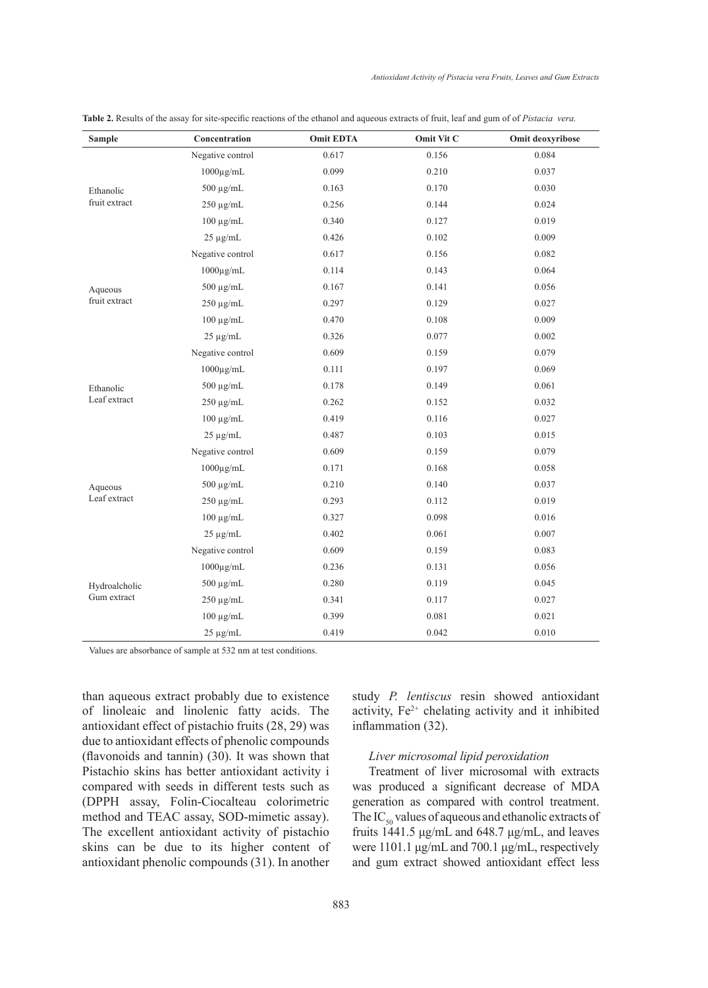| <b>Sample</b> | Concentration        | <b>Omit EDTA</b> | Omit Vit C | Omit deoxyribose |
|---------------|----------------------|------------------|------------|------------------|
|               | Negative control     | 0.617            | 0.156      | 0.084            |
| Ethanolic     | $1000\mu\text{g/mL}$ | 0.099            | 0.210      | 0.037            |
|               | $500 \mu g/mL$       | 0.163            | 0.170      | 0.030            |
| fruit extract | $250 \mu g/mL$       | 0.256            | 0.144      | 0.024            |
|               | $100 \mu g/mL$       | 0.340            | 0.127      | 0.019            |
|               | $25 \mu g/mL$        | 0.426            | 0.102      | 0.009            |
|               | Negative control     | 0.617            | 0.156      | 0.082            |
|               | $1000\mu$ g/mL       | 0.114            | 0.143      | 0.064            |
| Aqueous       | $500 \mu g/mL$       | 0.167            | 0.141      | 0.056            |
| fruit extract | $250 \mu g/mL$       | 0.297            | 0.129      | 0.027            |
|               | $100 \mu g/mL$       | 0.470            | 0.108      | 0.009            |
|               | $25 \mu g/mL$        | 0.326            | 0.077      | 0.002            |
|               | Negative control     | 0.609            | 0.159      | 0.079            |
|               | $1000\mu\text{g/mL}$ | 0.111            | 0.197      | 0.069            |
| Ethanolic     | $500 \mu g/mL$       | 0.178            | 0.149      | 0.061            |
| Leaf extract  | $250 \mu g/mL$       | 0.262            | 0.152      | 0.032            |
|               | $100 \mu g/mL$       | 0.419            | 0.116      | 0.027            |
|               | $25 \mu g/mL$        | 0.487            | 0.103      | 0.015            |
|               | Negative control     | 0.609            | 0.159      | 0.079            |
|               | $1000\mu\text{g/mL}$ | 0.171            | 0.168      | 0.058            |
| Aqueous       | $500 \mu g/mL$       | 0.210            | 0.140      | 0.037            |
| Leaf extract  | $250 \mu g/mL$       | 0.293            | 0.112      | 0.019            |
|               | $100 \mu g/mL$       | 0.327            | 0.098      | 0.016            |
|               | $25 \mu g/mL$        | 0.402            | 0.061      | 0.007            |
|               | Negative control     | 0.609            | 0.159      | 0.083            |
|               | $1000\mu\text{g/mL}$ | 0.236            | 0.131      | 0.056            |
| Hydroalcholic | $500 \mu g/mL$       | 0.280            | 0.119      | 0.045            |
| Gum extract   | $250 \mu g/mL$       | 0.341            | 0.117      | 0.027            |
|               | $100 \mu g/mL$       | 0.399            | 0.081      | 0.021            |
|               | $25 \mu g/mL$        | 0.419            | 0.042      | 0.010            |

**Table 2.** Results of the assay for site-specific reactions of the ethanol and aqueous extracts of fruit, leaf and gum of of *Pistacia vera.*

Values are absorbance of sample at 532 nm at test conditions.

than aqueous extract probably due to existence of linoleaic and linolenic fatty acids. The antioxidant effect of pistachio fruits (28, 29) was due to antioxidant effects of phenolic compounds (flavonoids and tannin) (30). It was shown that Pistachio skins has better antioxidant activity i compared with seeds in different tests such as (DPPH assay, Folin-Ciocalteau colorimetric method and TEAC assay, SOD-mimetic assay). The excellent antioxidant activity of pistachio skins can be due to its higher content of antioxidant phenolic compounds (31). In another study *P. lentiscus* resin showed antioxidant activity,  $Fe^{2+}$  chelating activity and it inhibited inflammation (32).

#### *Liver microsomal lipid peroxidation*

Treatment of liver microsomal with extracts was produced a significant decrease of MDA generation as compared with control treatment. The  $IC_{50}$  values of aqueous and ethanolic extracts of fruits 1441.5 μg/mL and 648.7 μg/mL, and leaves were 1101.1 μg/mL and 700.1 μg/mL, respectively and gum extract showed antioxidant effect less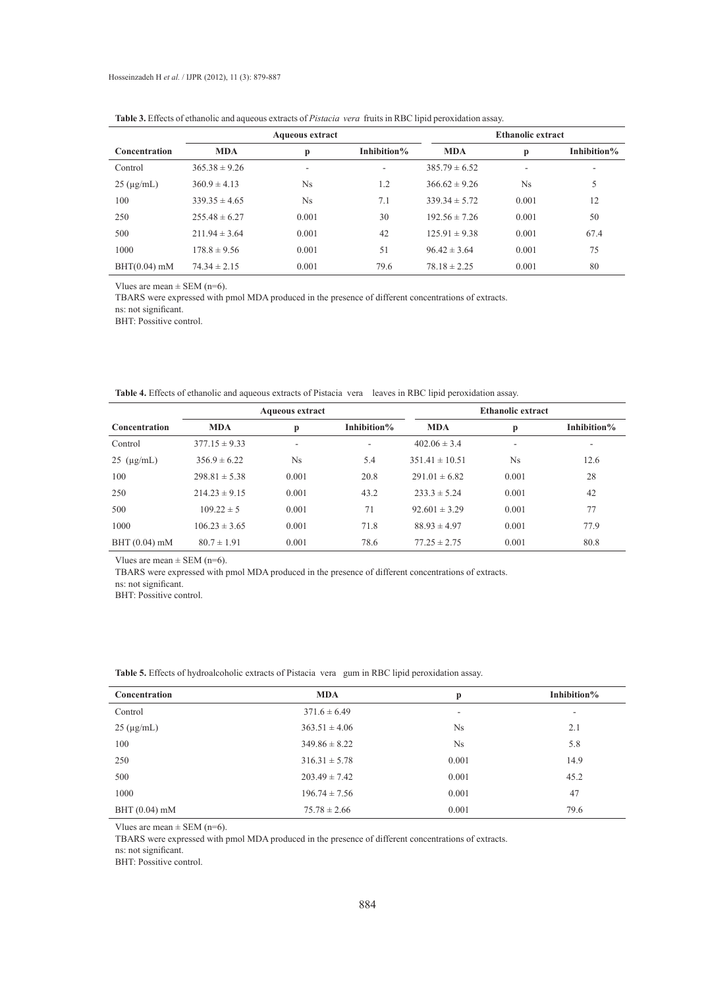|                      |                   | <b>Aqueous extract</b> |             |                   | <b>Ethanolic extract</b> |             |
|----------------------|-------------------|------------------------|-------------|-------------------|--------------------------|-------------|
| Concentration        | <b>MDA</b>        | p                      | Inhibition% | <b>MDA</b>        | p                        | Inhibition% |
| Control              | $365.38 \pm 9.26$ | ۰                      | ٠.          | $385.79 \pm 6.52$ | ٠                        | ۰           |
| $25 \text{ (µg/mL)}$ | $360.9 \pm 4.13$  | $N_{\rm S}$            | 1.2         | $366.62 \pm 9.26$ | $N_{\rm S}$              | 5           |
| 100                  | $339.35 \pm 4.65$ | Ns                     | 7.1         | $339.34 \pm 5.72$ | 0.001                    | 12          |
| 250                  | $255.48 \pm 6.27$ | 0.001                  | 30          | $192.56 \pm 7.26$ | 0.001                    | 50          |
| 500                  | $211.94 \pm 3.64$ | 0.001                  | 42          | $125.91 \pm 9.38$ | 0.001                    | 67.4        |
| 1000                 | $178.8 \pm 9.56$  | 0.001                  | 51          | $96.42 \pm 3.64$  | 0.001                    | 75          |
| $BHT(0.04)$ mM       | $74.34 \pm 2.15$  | 0.001                  | 79.6        | $78.18 \pm 2.25$  | 0.001                    | 80          |

**Table 3.** Effects of ethanolic and aqueous extracts of *Pistacia vera* fruits in RBC lipid peroxidation assay.

Vlues are mean  $\pm$  SEM (n=6).

TBARS were expressed with pmol MDA produced in the presence of different concentrations of extracts.

ns: not significant.

BHT: Possitive control.

| Table 4. Effects of ethanolic and aqueous extracts of Pistacia vera leaves in RBC lipid peroxidation assay. |  |
|-------------------------------------------------------------------------------------------------------------|--|
|-------------------------------------------------------------------------------------------------------------|--|

|                      |                   | <b>Aqueous extract</b>   |             | <b>Ethanolic extract</b> |                          |             |
|----------------------|-------------------|--------------------------|-------------|--------------------------|--------------------------|-------------|
| <b>Concentration</b> | <b>MDA</b>        | p                        | Inhibition% | <b>MDA</b>               | p                        | Inhibition% |
| Control              | $377.15 \pm 9.33$ | $\overline{\phantom{a}}$ | ٠           | $402.06 \pm 3.4$         | $\overline{\phantom{a}}$ | ۰           |
| $25 \text{ (µg/mL)}$ | $356.9 \pm 6.22$  | $N_{\rm S}$              | 5.4         | $351.41 \pm 10.51$       | <b>Ns</b>                | 12.6        |
| 100                  | $298.81 \pm 5.38$ | 0.001                    | 20.8        | $291.01 \pm 6.82$        | 0.001                    | 28          |
| 250                  | $214.23 \pm 9.15$ | 0.001                    | 43.2        | $233.3 \pm 5.24$         | 0.001                    | 42          |
| 500                  | $109.22 \pm 5$    | 0.001                    | 71          | $92.601 \pm 3.29$        | 0.001                    | 77          |
| 1000                 | $106.23 \pm 3.65$ | 0.001                    | 71.8        | $88.93 \pm 4.97$         | 0.001                    | 77.9        |
| $BHT(0.04)$ mM       | $80.7 \pm 1.91$   | 0.001                    | 78.6        | $77.25 \pm 2.75$         | 0.001                    | 80.8        |

Vlues are mean  $\pm$  SEM (n=6).

TBARS were expressed with pmol MDA produced in the presence of different concentrations of extracts.

ns: not significant.

BHT: Possitive control.

| Concentration        | <b>MDA</b>        | p              | Inhibition% |
|----------------------|-------------------|----------------|-------------|
| Control              | $371.6 \pm 6.49$  | ٠              | ۰           |
| $25 \text{ (µg/mL)}$ | $363.51 \pm 4.06$ | N <sub>s</sub> | 2.1         |
| 100                  | $349.86 \pm 8.22$ | N <sub>s</sub> | 5.8         |
| 250                  | $316.31 \pm 5.78$ | 0.001          | 14.9        |
| 500                  | $203.49 \pm 7.42$ | 0.001          | 45.2        |
| 1000                 | $196.74 \pm 7.56$ | 0.001          | 47          |
| $BHT(0.04)$ mM       | $75.78 \pm 2.66$  | 0.001          | 79.6        |

**Table 5.** Effects of hydroalcoholic extracts of Pistacia vera gum in RBC lipid peroxidation assay.

Vlues are mean  $\pm$  SEM (n=6).

TBARS were expressed with pmol MDA produced in the presence of different concentrations of extracts.

ns: not significant.

BHT: Possitive control.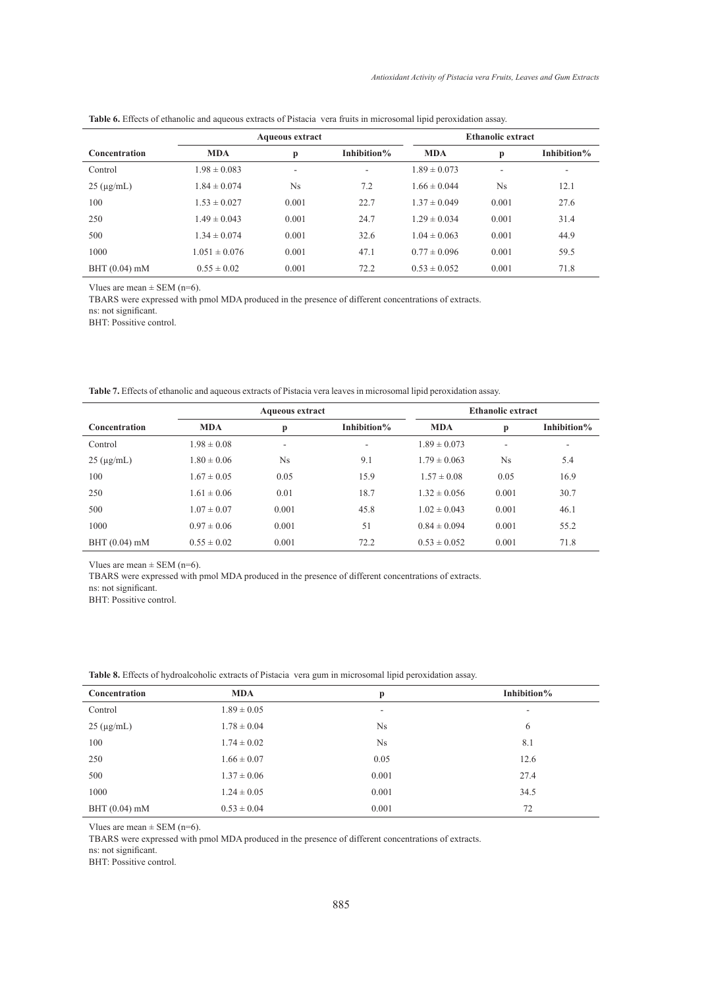|                      | <b>Aqueous extract</b> |       |             | <b>Ethanolic extract</b> |             |             |
|----------------------|------------------------|-------|-------------|--------------------------|-------------|-------------|
| Concentration        | <b>MDA</b>             | p     | Inhibition% | <b>MDA</b>               | p           | Inhibition% |
| Control              | $1.98 \pm 0.083$       |       | ۰           | $1.89 \pm 0.073$         |             |             |
| $25 \text{ (µg/mL)}$ | $1.84 \pm 0.074$       | Ns.   | 7.2         | $1.66 \pm 0.044$         | $N_{\rm S}$ | 12.1        |
| 100                  | $1.53 \pm 0.027$       | 0.001 | 22.7        | $1.37 \pm 0.049$         | 0.001       | 27.6        |
| 250                  | $1.49 \pm 0.043$       | 0.001 | 24.7        | $1.29 \pm 0.034$         | 0.001       | 31.4        |
| 500                  | $1.34 \pm 0.074$       | 0.001 | 32.6        | $1.04 \pm 0.063$         | 0.001       | 44.9        |
| 1000                 | $1.051 \pm 0.076$      | 0.001 | 47.1        | $0.77 \pm 0.096$         | 0.001       | 59.5        |
| $BHT(0.04)$ mM       | $0.55 \pm 0.02$        | 0.001 | 72.2        | $0.53 \pm 0.052$         | 0.001       | 71.8        |

**Table 6.** Effects of ethanolic and aqueous extracts of Pistacia vera fruits in microsomal lipid peroxidation assay.

Vlues are mean  $\pm$  SEM (n=6).

TBARS were expressed with pmol MDA produced in the presence of different concentrations of extracts.

ns: not significant.

BHT: Possitive control.

**Table 7.** Effects of ethanolic and aqueous extracts of Pistacia vera leaves in microsomal lipid peroxidation assay.

|                      | <b>Aqueous extract</b> |           |             | <b>Ethanolic extract</b> |           |                          |
|----------------------|------------------------|-----------|-------------|--------------------------|-----------|--------------------------|
| <b>Concentration</b> | <b>MDA</b>             | p         | Inhibition% | <b>MDA</b>               | p         | Inhibition%              |
| Control              | $1.98 \pm 0.08$        | ۰         | -           | $1.89 \pm 0.073$         | ۰         | $\overline{\phantom{a}}$ |
| $25 \text{ (µg/mL)}$ | $1.80 \pm 0.06$        | <b>Ns</b> | 9.1         | $1.79 \pm 0.063$         | <b>Ns</b> | 5.4                      |
| 100                  | $1.67 \pm 0.05$        | 0.05      | 15.9        | $1.57 \pm 0.08$          | 0.05      | 16.9                     |
| 250                  | $1.61 \pm 0.06$        | 0.01      | 18.7        | $1.32 \pm 0.056$         | 0.001     | 30.7                     |
| 500                  | $1.07 \pm 0.07$        | 0.001     | 45.8        | $1.02 \pm 0.043$         | 0.001     | 46.1                     |
| 1000                 | $0.97 \pm 0.06$        | 0.001     | 51          | $0.84 \pm 0.094$         | 0.001     | 55.2                     |
| $BHT(0.04)$ mM       | $0.55 \pm 0.02$        | 0.001     | 72.2        | $0.53 \pm 0.052$         | 0.001     | 71.8                     |

Vlues are mean  $\pm$  SEM (n=6).

TBARS were expressed with pmol MDA produced in the presence of different concentrations of extracts.

ns: not significant.

BHT: Possitive control.

| <b>THOIC OF ETIQUE OF HYGIQUIQUIQUE CALLACED</b> OF FIGHING TOIL KILL IN HIRE OSOHIMI HIDIQ POLOARGHOH GOOD, |                 |                          |                          |  |  |  |
|--------------------------------------------------------------------------------------------------------------|-----------------|--------------------------|--------------------------|--|--|--|
| Concentration                                                                                                | <b>MDA</b>      | p                        | Inhibition%              |  |  |  |
| Control                                                                                                      | $1.89 \pm 0.05$ | $\overline{\phantom{a}}$ | $\overline{\phantom{a}}$ |  |  |  |
| $25 \text{ (µg/mL)}$                                                                                         | $1.78 \pm 0.04$ | Ns                       | 6                        |  |  |  |
| 100                                                                                                          | $1.74 \pm 0.02$ | Ns                       | 8.1                      |  |  |  |
| 250                                                                                                          | $1.66 \pm 0.07$ | 0.05                     | 12.6                     |  |  |  |
| 500                                                                                                          | $1.37 \pm 0.06$ | 0.001                    | 27.4                     |  |  |  |
| 1000                                                                                                         | $1.24 \pm 0.05$ | 0.001                    | 34.5                     |  |  |  |
| $BHT(0.04)$ mM                                                                                               | $0.53 \pm 0.04$ | 0.001                    | 72                       |  |  |  |

**Table 8.** Effects of hydroalcoholic extracts of Pistacia vera gum in microsomal lipid peroxidation assay.

Vlues are mean  $\pm$  SEM (n=6).

TBARS were expressed with pmol MDA produced in the presence of different concentrations of extracts.

ns: not significant.

BHT: Possitive control.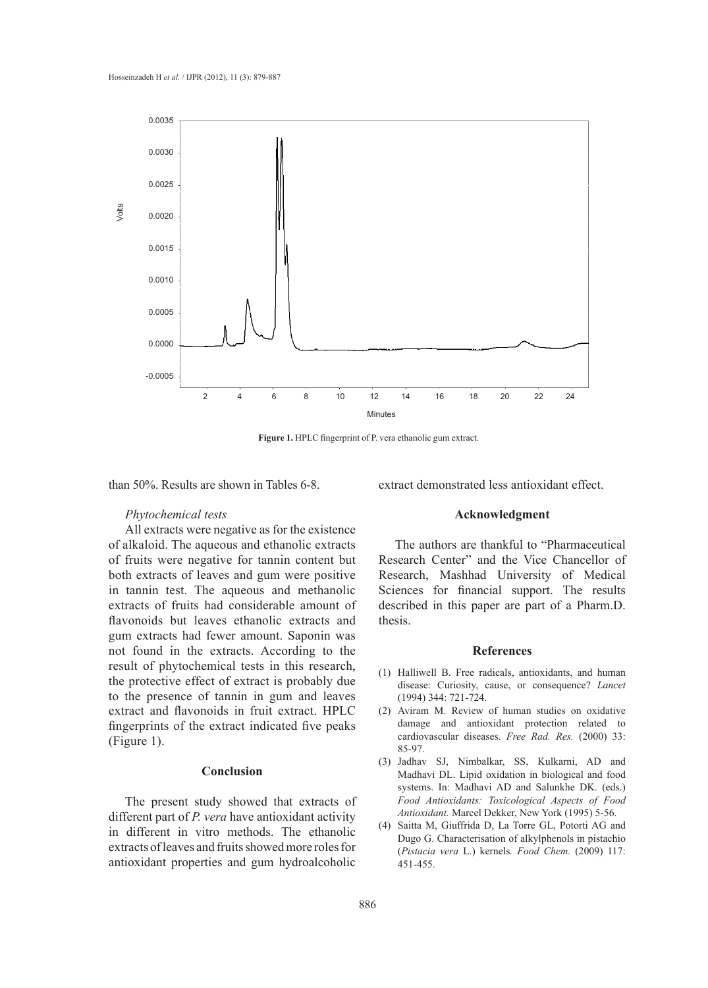

**Figure 1.** HPLC fingerprint of P. vera ethanolic gum extract.

than 50%. Results are shown in Tables 6-8.

extract demonstrated less antioxidant effect.

## *Phytochemical tests*

All extracts were negative as for the existence of alkaloid. The aqueous and ethanolic extracts of fruits were negative for tannin content but both extracts of leaves and gum were positive in tannin test. The aqueous and methanolic extracts of fruits had considerable amount of flavonoids but leaves ethanolic extracts and gum extracts had fewer amount. Saponin was not found in the extracts. According to the result of phytochemical tests in this research, the protective effect of extract is probably due to the presence of tannin in gum and leaves extract and flavonoids in fruit extract. HPLC fingerprints of the extract indicated five peaks (Figure 1).

## **Conclusion**

The present study showed that extracts of different part of *P. vera* have antioxidant activity in different in vitro methods. The ethanolic extracts of leaves and fruits showed more roles for antioxidant properties and gum hydroalcoholic

## **Acknowledgment**

The authors are thankful to "Pharmaceutical Research Center" and the Vice Chancellor of Research, Mashhad University of Medical Sciences for financial support. The results described in this paper are part of a Pharm.D. thesis.

#### **References**

- (1) Halliwell B. Free radicals, antioxidants, and human disease: Curiosity, cause, or consequence? *Lancet*  (1994) 344: 721-724.
- Aviram M. Review of human studies on oxidative (2) damage and antioxidant protection related to cardiovascular diseases. *Free Rad. Res.* (2000) 33: 85-97.
- (3) Jadhav SJ, Nimbalkar, SS, Kulkarni, AD and Madhavi DL. Lipid oxidation in biological and food systems. In: Madhavi AD and Salunkhe DK. (eds.) *Food Antioxidants: Toxicological Aspects of Food Antioxidant.* Marcel Dekker, New York (1995) 5-56.
- Saitta M, Giuffrida D, La Torre GL, Potorti AG and (4)Dugo G. Characterisation of alkylphenols in pistachio (*Pistacia vera* L.) kernels*. Food Chem.* (2009) 117: 451-455.